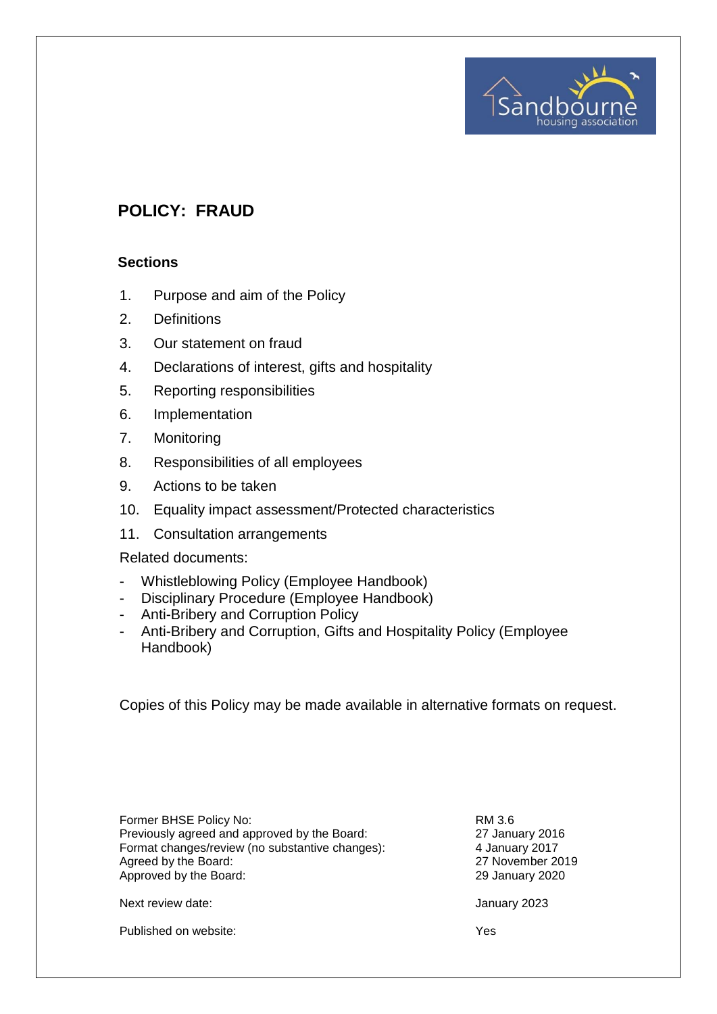# **POLICY: FRAUD**

#### **Sections**

- 1. Purpose and aim of the Policy
- 2. Definitions
- 3. Our statement on fraud
- 4. Declarations of interest, gifts and hospitality
- 5. Reporting responsibilities
- 6. Implementation
- 7. Monitoring
- 8. Responsibilities of all employees
- 9. Actions to be taken
- 10. Equality impact assessment/Protected characteristics
- 11. Consultation arrangements

#### Related documents:

- Whistleblowing Policy (Employee Handbook)
- Disciplinary Procedure (Employee Handbook)
- Anti-Bribery and Corruption Policy
- Anti-Bribery and Corruption, Gifts and Hospitality Policy (Employee Handbook)

Copies of this Policy may be made available in alternative formats on request.

| Former BHSE Policy No:                          | RM 3.6  |
|-------------------------------------------------|---------|
| Previously agreed and approved by the Board:    | 27 Jani |
| Format changes/review (no substantive changes): | 4 Janua |
| Agreed by the Board:                            | 27 Nov  |
| Approved by the Board:                          | 29 Janı |

27 January 2016 4 January 2017 27 November 2019 29 January 2020

Sandbor

pusing assoc

Next review date:  $\frac{1}{2}$  January 2023

Published on website:  $Y$ es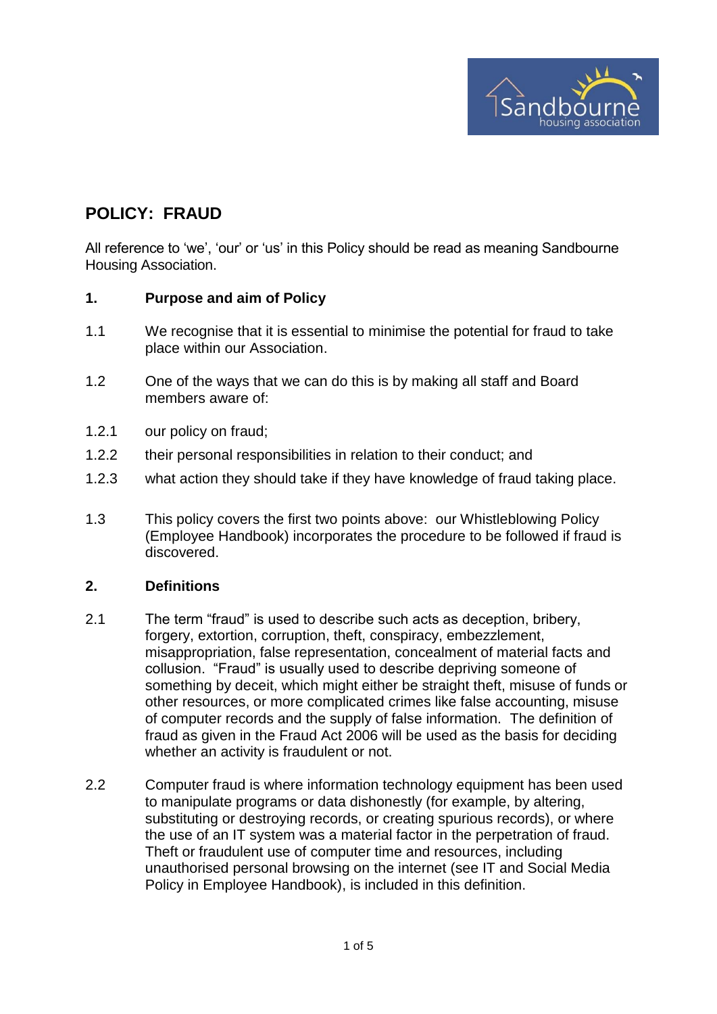

## **POLICY: FRAUD**

All reference to 'we', 'our' or 'us' in this Policy should be read as meaning Sandbourne Housing Association.

#### **1. Purpose and aim of Policy**

- 1.1 We recognise that it is essential to minimise the potential for fraud to take place within our Association.
- 1.2 One of the ways that we can do this is by making all staff and Board members aware of:
- 1.2.1 our policy on fraud;
- 1.2.2 their personal responsibilities in relation to their conduct; and
- 1.2.3 what action they should take if they have knowledge of fraud taking place.
- 1.3 This policy covers the first two points above: our Whistleblowing Policy (Employee Handbook) incorporates the procedure to be followed if fraud is discovered.

#### **2. Definitions**

- 2.1 The term "fraud" is used to describe such acts as deception, bribery, forgery, extortion, corruption, theft, conspiracy, embezzlement, misappropriation, false representation, concealment of material facts and collusion. "Fraud" is usually used to describe depriving someone of something by deceit, which might either be straight theft, misuse of funds or other resources, or more complicated crimes like false accounting, misuse of computer records and the supply of false information. The definition of fraud as given in the Fraud Act 2006 will be used as the basis for deciding whether an activity is fraudulent or not.
- 2.2 Computer fraud is where information technology equipment has been used to manipulate programs or data dishonestly (for example, by altering, substituting or destroying records, or creating spurious records), or where the use of an IT system was a material factor in the perpetration of fraud. Theft or fraudulent use of computer time and resources, including unauthorised personal browsing on the internet (see IT and Social Media Policy in Employee Handbook), is included in this definition.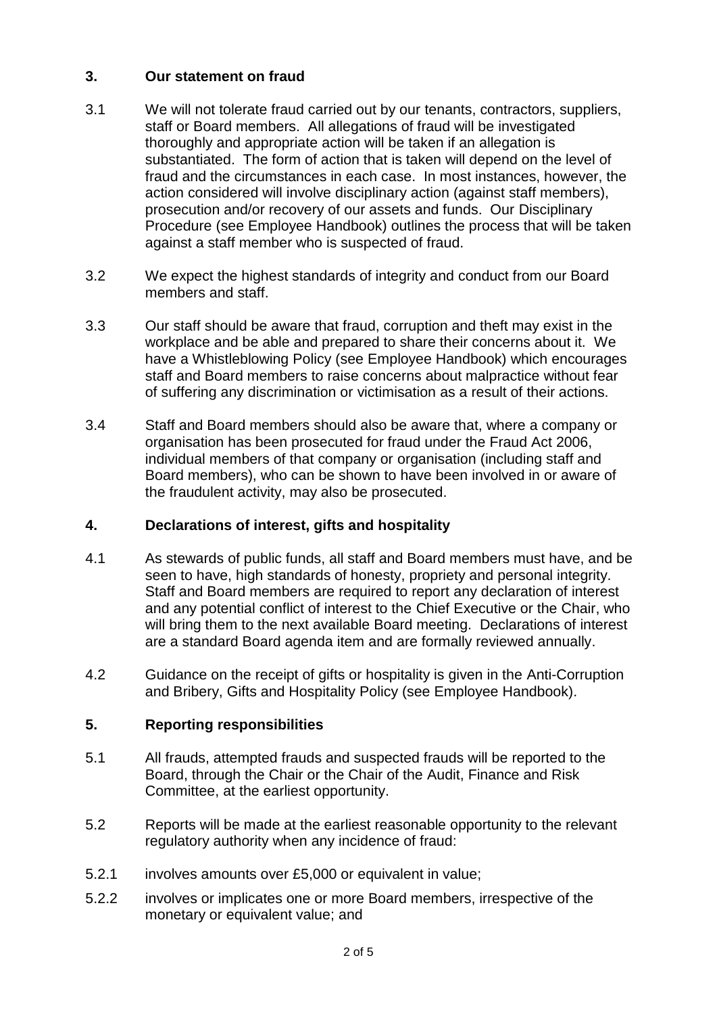## **3. Our statement on fraud**

- 3.1 We will not tolerate fraud carried out by our tenants, contractors, suppliers, staff or Board members. All allegations of fraud will be investigated thoroughly and appropriate action will be taken if an allegation is substantiated. The form of action that is taken will depend on the level of fraud and the circumstances in each case. In most instances, however, the action considered will involve disciplinary action (against staff members), prosecution and/or recovery of our assets and funds. Our Disciplinary Procedure (see Employee Handbook) outlines the process that will be taken against a staff member who is suspected of fraud.
- 3.2 We expect the highest standards of integrity and conduct from our Board members and staff.
- 3.3 Our staff should be aware that fraud, corruption and theft may exist in the workplace and be able and prepared to share their concerns about it. We have a Whistleblowing Policy (see Employee Handbook) which encourages staff and Board members to raise concerns about malpractice without fear of suffering any discrimination or victimisation as a result of their actions.
- 3.4 Staff and Board members should also be aware that, where a company or organisation has been prosecuted for fraud under the Fraud Act 2006, individual members of that company or organisation (including staff and Board members), who can be shown to have been involved in or aware of the fraudulent activity, may also be prosecuted.

## **4. Declarations of interest, gifts and hospitality**

- 4.1 As stewards of public funds, all staff and Board members must have, and be seen to have, high standards of honesty, propriety and personal integrity. Staff and Board members are required to report any declaration of interest and any potential conflict of interest to the Chief Executive or the Chair, who will bring them to the next available Board meeting. Declarations of interest are a standard Board agenda item and are formally reviewed annually.
- 4.2 Guidance on the receipt of gifts or hospitality is given in the Anti-Corruption and Bribery, Gifts and Hospitality Policy (see Employee Handbook).

## **5. Reporting responsibilities**

- 5.1 All frauds, attempted frauds and suspected frauds will be reported to the Board, through the Chair or the Chair of the Audit, Finance and Risk Committee, at the earliest opportunity.
- 5.2 Reports will be made at the earliest reasonable opportunity to the relevant regulatory authority when any incidence of fraud:
- 5.2.1 involves amounts over £5,000 or equivalent in value;
- 5.2.2 involves or implicates one or more Board members, irrespective of the monetary or equivalent value; and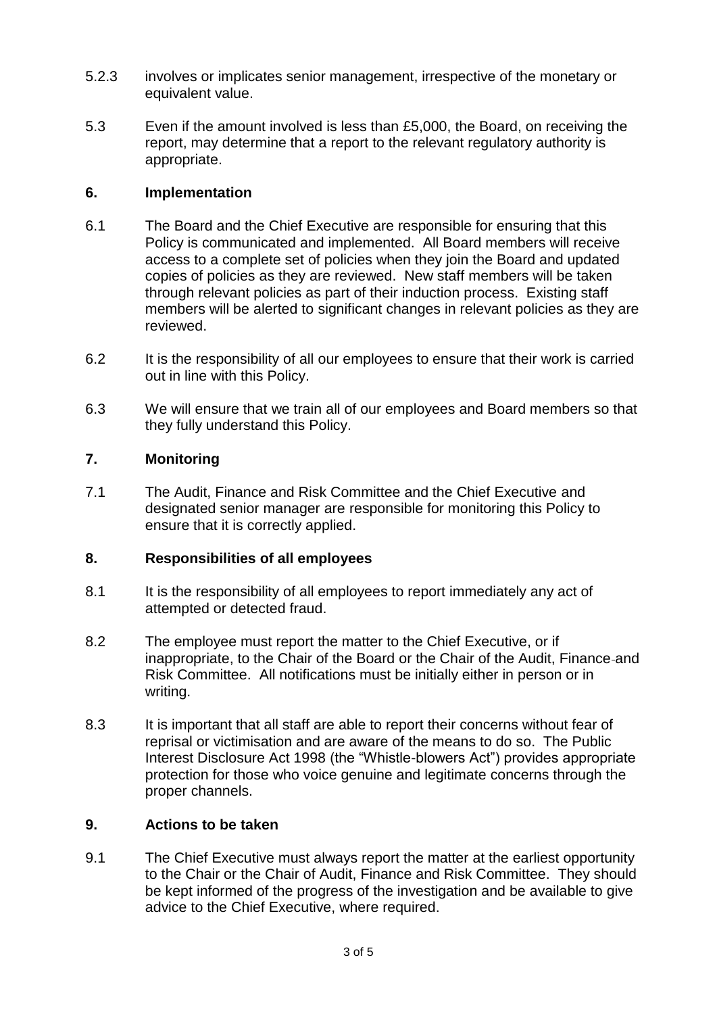- 5.2.3 involves or implicates senior management, irrespective of the monetary or equivalent value.
- 5.3 Even if the amount involved is less than £5,000, the Board, on receiving the report, may determine that a report to the relevant regulatory authority is appropriate.

## **6. Implementation**

- 6.1 The Board and the Chief Executive are responsible for ensuring that this Policy is communicated and implemented. All Board members will receive access to a complete set of policies when they join the Board and updated copies of policies as they are reviewed. New staff members will be taken through relevant policies as part of their induction process. Existing staff members will be alerted to significant changes in relevant policies as they are reviewed.
- 6.2 It is the responsibility of all our employees to ensure that their work is carried out in line with this Policy.
- 6.3 We will ensure that we train all of our employees and Board members so that they fully understand this Policy.

## **7. Monitoring**

7.1 The Audit, Finance and Risk Committee and the Chief Executive and designated senior manager are responsible for monitoring this Policy to ensure that it is correctly applied.

#### **8. Responsibilities of all employees**

- 8.1 It is the responsibility of all employees to report immediately any act of attempted or detected fraud.
- 8.2 The employee must report the matter to the Chief Executive, or if inappropriate, to the Chair of the Board or the Chair of the Audit, Finance and Risk Committee. All notifications must be initially either in person or in writing.
- 8.3 It is important that all staff are able to report their concerns without fear of reprisal or victimisation and are aware of the means to do so. The Public Interest Disclosure Act 1998 (the "Whistle-blowers Act") provides appropriate protection for those who voice genuine and legitimate concerns through the proper channels.

## **9. Actions to be taken**

9.1 The Chief Executive must always report the matter at the earliest opportunity to the Chair or the Chair of Audit, Finance and Risk Committee. They should be kept informed of the progress of the investigation and be available to give advice to the Chief Executive, where required.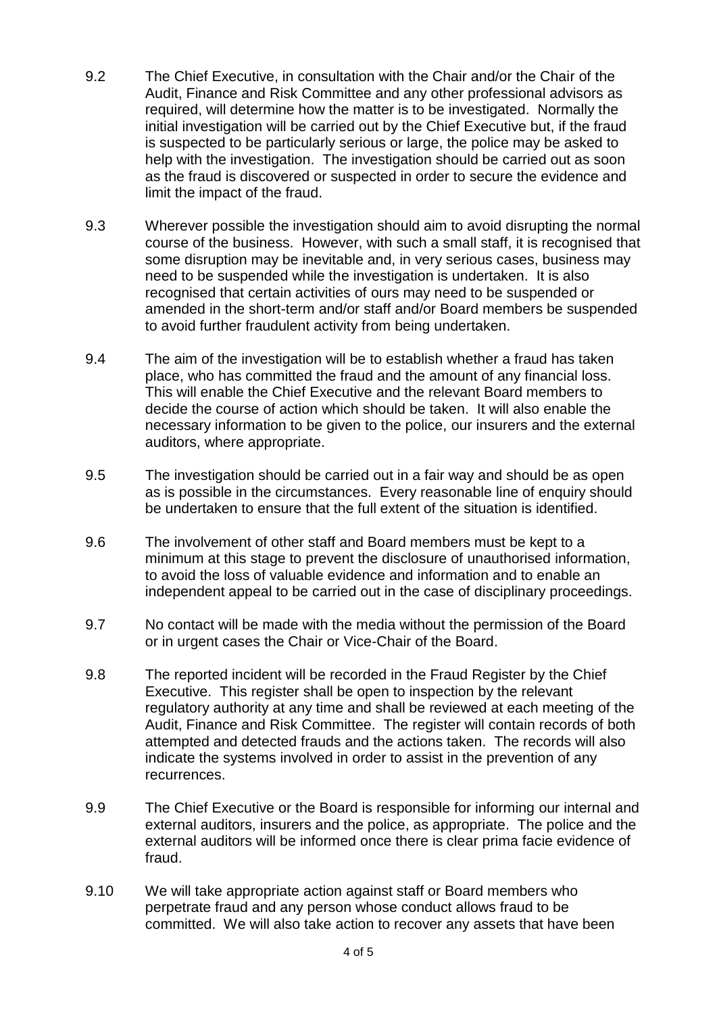- 9.2 The Chief Executive, in consultation with the Chair and/or the Chair of the Audit, Finance and Risk Committee and any other professional advisors as required, will determine how the matter is to be investigated. Normally the initial investigation will be carried out by the Chief Executive but, if the fraud is suspected to be particularly serious or large, the police may be asked to help with the investigation. The investigation should be carried out as soon as the fraud is discovered or suspected in order to secure the evidence and limit the impact of the fraud.
- 9.3 Wherever possible the investigation should aim to avoid disrupting the normal course of the business. However, with such a small staff, it is recognised that some disruption may be inevitable and, in very serious cases, business may need to be suspended while the investigation is undertaken. It is also recognised that certain activities of ours may need to be suspended or amended in the short-term and/or staff and/or Board members be suspended to avoid further fraudulent activity from being undertaken.
- 9.4 The aim of the investigation will be to establish whether a fraud has taken place, who has committed the fraud and the amount of any financial loss. This will enable the Chief Executive and the relevant Board members to decide the course of action which should be taken. It will also enable the necessary information to be given to the police, our insurers and the external auditors, where appropriate.
- 9.5 The investigation should be carried out in a fair way and should be as open as is possible in the circumstances. Every reasonable line of enquiry should be undertaken to ensure that the full extent of the situation is identified.
- 9.6 The involvement of other staff and Board members must be kept to a minimum at this stage to prevent the disclosure of unauthorised information, to avoid the loss of valuable evidence and information and to enable an independent appeal to be carried out in the case of disciplinary proceedings.
- 9.7 No contact will be made with the media without the permission of the Board or in urgent cases the Chair or Vice-Chair of the Board.
- 9.8 The reported incident will be recorded in the Fraud Register by the Chief Executive. This register shall be open to inspection by the relevant regulatory authority at any time and shall be reviewed at each meeting of the Audit, Finance and Risk Committee. The register will contain records of both attempted and detected frauds and the actions taken. The records will also indicate the systems involved in order to assist in the prevention of any recurrences.
- 9.9 The Chief Executive or the Board is responsible for informing our internal and external auditors, insurers and the police, as appropriate. The police and the external auditors will be informed once there is clear prima facie evidence of fraud.
- 9.10 We will take appropriate action against staff or Board members who perpetrate fraud and any person whose conduct allows fraud to be committed. We will also take action to recover any assets that have been